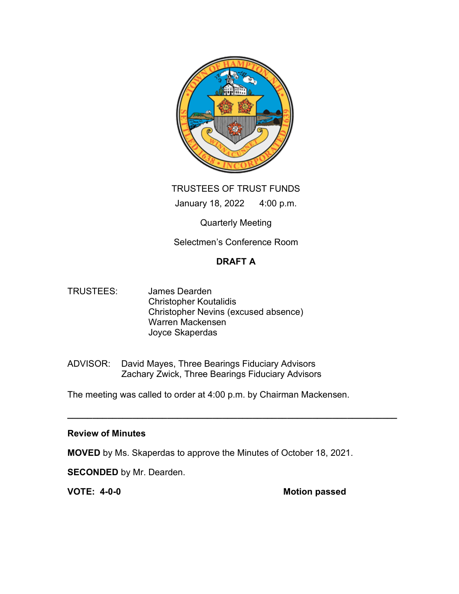

TRUSTEES OF TRUST FUNDS January 18, 2022 4:00 p.m.

Quarterly Meeting

Selectmen's Conference Room

# DRAFT A

- TRUSTEES: James Dearden Christopher Koutalidis Christopher Nevins (excused absence) Warren Mackensen Joyce Skaperdas
- ADVISOR: David Mayes, Three Bearings Fiduciary Advisors Zachary Zwick, Three Bearings Fiduciary Advisors

The meeting was called to order at 4:00 p.m. by Chairman Mackensen.

 $\overline{\phantom{a}}$  , and the contribution of the contribution of the contribution of the contribution of the contribution of the contribution of the contribution of the contribution of the contribution of the contribution of the

# Review of Minutes

MOVED by Ms. Skaperdas to approve the Minutes of October 18, 2021.

**SECONDED** by Mr. Dearden.

VOTE: 4-0-0 Motion passed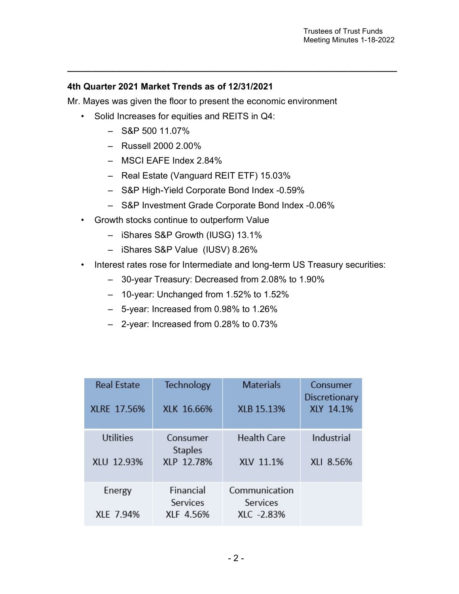### 4th Quarter 2021 Market Trends as of 12/31/2021

Mr. Mayes was given the floor to present the economic environment

 $\overline{\phantom{a}}$  , and the contribution of the contribution of the contribution of the contribution of the contribution of the contribution of the contribution of the contribution of the contribution of the contribution of the

- Solid Increases for equities and REITS in Q4:
	- $-$  S&P 500 11.07%
	- Russell 2000 2.00%
	- MSCI EAFE Index 2.84%
	- Real Estate (Vanguard REIT ETF) 15.03%
	- S&P High-Yield Corporate Bond Index -0.59%
	- S&P Investment Grade Corporate Bond Index -0.06%
- Growth stocks continue to outperform Value
	- iShares S&P Growth (IUSG) 13.1%
	- iShares S&P Value (IUSV) 8.26%
- Interest rates rose for Intermediate and long-term US Treasury securities:
	- 30-year Treasury: Decreased from 2.08% to 1.90%
	- 10-year: Unchanged from 1.52% to 1.52%
	- 5-year: Increased from 0.98% to 1.26%
	- 2-year: Increased from 0.28% to 0.73%

| <b>Real Estate</b><br>XLRE 17.56% | Technology<br>XLK 16.66%   | <b>Materials</b><br>XLB 15.13% | Consumer<br>Discretionary<br>XLY 14.1% |
|-----------------------------------|----------------------------|--------------------------------|----------------------------------------|
| <b>Utilities</b>                  | Consumer<br><b>Staples</b> | <b>Health Care</b>             | Industrial                             |
| XLU 12.93%                        | XLP 12.78%                 | XLV 11.1%                      | XLI 8.56%                              |
| Energy                            | Financial<br>Services      | Communication<br>Services      |                                        |
| XLE 7.94%                         | XLF 4.56%                  | XLC -2.83%                     |                                        |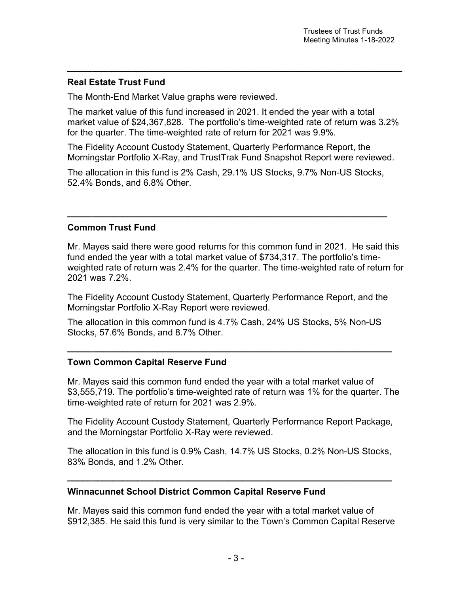### Real Estate Trust Fund

The Month-End Market Value graphs were reviewed.

The market value of this fund increased in 2021. It ended the year with a total market value of \$24,367,828. The portfolio's time-weighted rate of return was 3.2% for the quarter. The time-weighted rate of return for 2021 was 9.9%.

 $\overline{\phantom{a}}$  , and the contribution of the contribution of the contribution of the contribution of the contribution of the contribution of the contribution of the contribution of the contribution of the contribution of the

The Fidelity Account Custody Statement, Quarterly Performance Report, the Morningstar Portfolio X-Ray, and TrustTrak Fund Snapshot Report were reviewed.

The allocation in this fund is 2% Cash, 29.1% US Stocks, 9.7% Non-US Stocks, 52.4% Bonds, and 6.8% Other.

\_\_\_\_\_\_\_\_\_\_\_\_\_\_\_\_\_\_\_\_\_\_\_\_\_\_\_\_\_\_\_\_\_\_\_\_\_\_\_\_\_\_\_\_\_\_\_\_\_\_\_\_\_\_\_\_\_\_\_\_\_\_\_\_

### Common Trust Fund

Mr. Mayes said there were good returns for this common fund in 2021. He said this fund ended the year with a total market value of \$734,317. The portfolio's timeweighted rate of return was 2.4% for the quarter. The time-weighted rate of return for 2021 was 7.2%.

The Fidelity Account Custody Statement, Quarterly Performance Report, and the Morningstar Portfolio X-Ray Report were reviewed.

The allocation in this common fund is 4.7% Cash, 24% US Stocks, 5% Non-US Stocks, 57.6% Bonds, and 8.7% Other.

\_\_\_\_\_\_\_\_\_\_\_\_\_\_\_\_\_\_\_\_\_\_\_\_\_\_\_\_\_\_\_\_\_\_\_\_\_\_\_\_\_\_\_\_\_\_\_\_\_\_\_\_\_\_\_\_\_\_\_\_\_\_\_\_\_

### Town Common Capital Reserve Fund

Mr. Mayes said this common fund ended the year with a total market value of \$3,555,719. The portfolio's time-weighted rate of return was 1% for the quarter. The time-weighted rate of return for 2021 was 2.9%.

The Fidelity Account Custody Statement, Quarterly Performance Report Package, and the Morningstar Portfolio X-Ray were reviewed.

The allocation in this fund is 0.9% Cash, 14.7% US Stocks, 0.2% Non-US Stocks, 83% Bonds, and 1.2% Other.

\_\_\_\_\_\_\_\_\_\_\_\_\_\_\_\_\_\_\_\_\_\_\_\_\_\_\_\_\_\_\_\_\_\_\_\_\_\_\_\_\_\_\_\_\_\_\_\_\_\_\_\_\_\_\_\_\_\_\_\_\_\_\_\_\_

### Winnacunnet School District Common Capital Reserve Fund

Mr. Mayes said this common fund ended the year with a total market value of \$912,385. He said this fund is very similar to the Town's Common Capital Reserve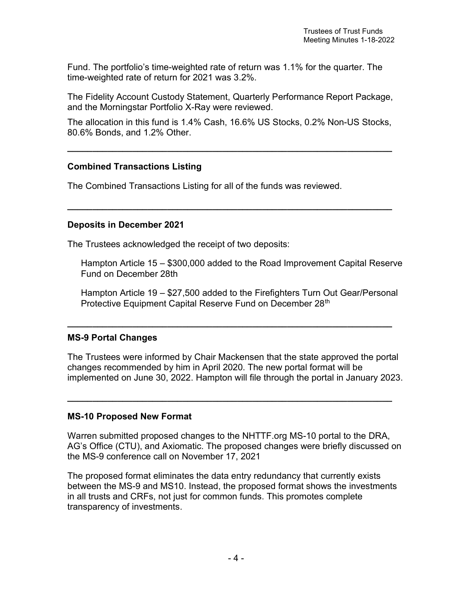Fund. The portfolio's time-weighted rate of return was 1.1% for the quarter. The time-weighted rate of return for 2021 was 3.2%.

The Fidelity Account Custody Statement, Quarterly Performance Report Package, and the Morningstar Portfolio X-Ray were reviewed.

The allocation in this fund is 1.4% Cash, 16.6% US Stocks, 0.2% Non-US Stocks, 80.6% Bonds, and 1.2% Other.

\_\_\_\_\_\_\_\_\_\_\_\_\_\_\_\_\_\_\_\_\_\_\_\_\_\_\_\_\_\_\_\_\_\_\_\_\_\_\_\_\_\_\_\_\_\_\_\_\_\_\_\_\_\_\_\_\_\_\_\_\_\_\_\_\_

 $\overline{\phantom{a}}$  , and the contribution of the contribution of the contribution of the contribution of the contribution of the contribution of the contribution of the contribution of the contribution of the contribution of the

### Combined Transactions Listing

The Combined Transactions Listing for all of the funds was reviewed.

#### Deposits in December 2021

The Trustees acknowledged the receipt of two deposits:

Hampton Article 15 – \$300,000 added to the Road Improvement Capital Reserve Fund on December 28th

Hampton Article 19 – \$27,500 added to the Firefighters Turn Out Gear/Personal Protective Equipment Capital Reserve Fund on December 28<sup>th</sup>

### MS-9 Portal Changes

The Trustees were informed by Chair Mackensen that the state approved the portal changes recommended by him in April 2020. The new portal format will be implemented on June 30, 2022. Hampton will file through the portal in January 2023.

\_\_\_\_\_\_\_\_\_\_\_\_\_\_\_\_\_\_\_\_\_\_\_\_\_\_\_\_\_\_\_\_\_\_\_\_\_\_\_\_\_\_\_\_\_\_\_\_\_\_\_\_\_\_\_\_\_\_\_\_\_\_\_\_\_

\_\_\_\_\_\_\_\_\_\_\_\_\_\_\_\_\_\_\_\_\_\_\_\_\_\_\_\_\_\_\_\_\_\_\_\_\_\_\_\_\_\_\_\_\_\_\_\_\_\_\_\_\_\_\_\_\_\_\_\_\_\_\_\_\_

### MS-10 Proposed New Format

Warren submitted proposed changes to the NHTTF.org MS-10 portal to the DRA, AG's Office (CTU), and Axiomatic. The proposed changes were briefly discussed on the MS-9 conference call on November 17, 2021

The proposed format eliminates the data entry redundancy that currently exists between the MS-9 and MS10. Instead, the proposed format shows the investments in all trusts and CRFs, not just for common funds. This promotes complete transparency of investments.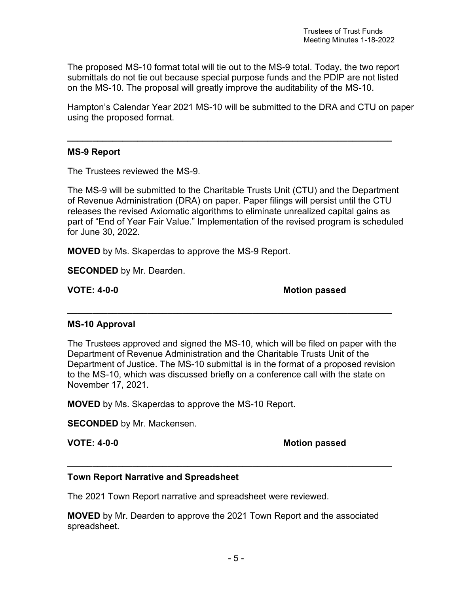The proposed MS-10 format total will tie out to the MS-9 total. Today, the two report submittals do not tie out because special purpose funds and the PDIP are not listed on the MS-10. The proposal will greatly improve the auditability of the MS-10.

\_\_\_\_\_\_\_\_\_\_\_\_\_\_\_\_\_\_\_\_\_\_\_\_\_\_\_\_\_\_\_\_\_\_\_\_\_\_\_\_\_\_\_\_\_\_\_\_\_\_\_\_\_\_\_\_\_\_\_\_\_\_\_\_\_

Hampton's Calendar Year 2021 MS-10 will be submitted to the DRA and CTU on paper using the proposed format.

### MS-9 Report

The Trustees reviewed the MS-9.

The MS-9 will be submitted to the Charitable Trusts Unit (CTU) and the Department of Revenue Administration (DRA) on paper. Paper filings will persist until the CTU releases the revised Axiomatic algorithms to eliminate unrealized capital gains as part of "End of Year Fair Value." Implementation of the revised program is scheduled for June 30, 2022.

MOVED by Ms. Skaperdas to approve the MS-9 Report.

**SECONDED** by Mr. Dearden.

VOTE: 4-0-0 Motion passed

### MS-10 Approval

The Trustees approved and signed the MS-10, which will be filed on paper with the Department of Revenue Administration and the Charitable Trusts Unit of the Department of Justice. The MS-10 submittal is in the format of a proposed revision to the MS-10, which was discussed briefly on a conference call with the state on November 17, 2021.

\_\_\_\_\_\_\_\_\_\_\_\_\_\_\_\_\_\_\_\_\_\_\_\_\_\_\_\_\_\_\_\_\_\_\_\_\_\_\_\_\_\_\_\_\_\_\_\_\_\_\_\_\_\_\_\_\_\_\_\_\_\_\_\_\_

MOVED by Ms. Skaperdas to approve the MS-10 Report.

SECONDED by Mr. Mackensen.

VOTE: 4-0-0 Motion passed

### Town Report Narrative and Spreadsheet

The 2021 Town Report narrative and spreadsheet were reviewed.

MOVED by Mr. Dearden to approve the 2021 Town Report and the associated spreadsheet.

\_\_\_\_\_\_\_\_\_\_\_\_\_\_\_\_\_\_\_\_\_\_\_\_\_\_\_\_\_\_\_\_\_\_\_\_\_\_\_\_\_\_\_\_\_\_\_\_\_\_\_\_\_\_\_\_\_\_\_\_\_\_\_\_\_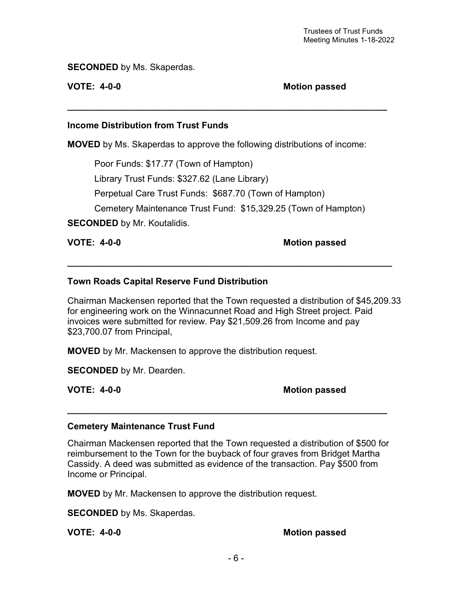SECONDED by Ms. Skaperdas.

VOTE: 4-0-0 Motion passed

### Income Distribution from Trust Funds

MOVED by Ms. Skaperdas to approve the following distributions of income:

\_\_\_\_\_\_\_\_\_\_\_\_\_\_\_\_\_\_\_\_\_\_\_\_\_\_\_\_\_\_\_\_\_\_\_\_\_\_\_\_\_\_\_\_\_\_\_\_\_\_\_\_\_\_\_\_\_\_\_\_\_\_\_\_

Poor Funds: \$17.77 (Town of Hampton)

Library Trust Funds: \$327.62 (Lane Library)

Perpetual Care Trust Funds: \$687.70 (Town of Hampton)

Cemetery Maintenance Trust Fund: \$15,329.25 (Town of Hampton)

\_\_\_\_\_\_\_\_\_\_\_\_\_\_\_\_\_\_\_\_\_\_\_\_\_\_\_\_\_\_\_\_\_\_\_\_\_\_\_\_\_\_\_\_\_\_\_\_\_\_\_\_\_\_\_\_\_\_\_\_\_\_\_\_\_

**SECONDED** by Mr. Koutalidis.

### VOTE: 4-0-0 Motion passed

### Town Roads Capital Reserve Fund Distribution

Chairman Mackensen reported that the Town requested a distribution of \$45,209.33 for engineering work on the Winnacunnet Road and High Street project. Paid invoices were submitted for review. Pay \$21,509.26 from Income and pay \$23,700.07 from Principal,

MOVED by Mr. Mackensen to approve the distribution request.

**SECONDED** by Mr. Dearden.

VOTE: 4-0-0 Motion passed

### Cemetery Maintenance Trust Fund

Chairman Mackensen reported that the Town requested a distribution of \$500 for reimbursement to the Town for the buyback of four graves from Bridget Martha Cassidy. A deed was submitted as evidence of the transaction. Pay \$500 from Income or Principal.

\_\_\_\_\_\_\_\_\_\_\_\_\_\_\_\_\_\_\_\_\_\_\_\_\_\_\_\_\_\_\_\_\_\_\_\_\_\_\_\_\_\_\_\_\_\_\_\_\_\_\_\_\_\_\_\_\_\_\_\_\_\_\_\_

MOVED by Mr. Mackensen to approve the distribution request.

**SECONDED** by Ms. Skaperdas.

VOTE: 4-0-0 Motion passed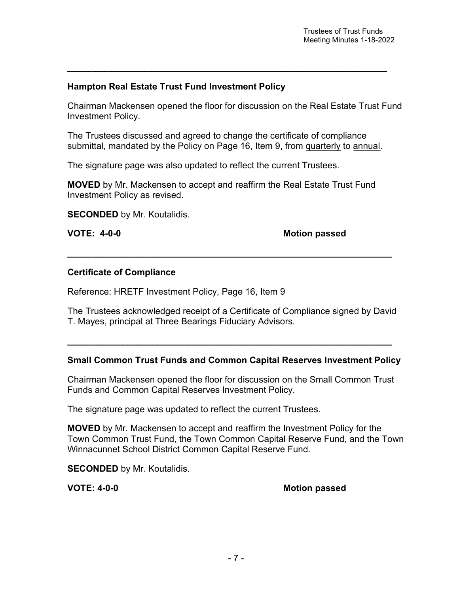## Hampton Real Estate Trust Fund Investment Policy

Chairman Mackensen opened the floor for discussion on the Real Estate Trust Fund Investment Policy.

\_\_\_\_\_\_\_\_\_\_\_\_\_\_\_\_\_\_\_\_\_\_\_\_\_\_\_\_\_\_\_\_\_\_\_\_\_\_\_\_\_\_\_\_\_\_\_\_\_\_\_\_\_\_\_\_\_\_\_\_\_\_\_\_

The Trustees discussed and agreed to change the certificate of compliance submittal, mandated by the Policy on Page 16, Item 9, from quarterly to annual.

The signature page was also updated to reflect the current Trustees.

MOVED by Mr. Mackensen to accept and reaffirm the Real Estate Trust Fund Investment Policy as revised.

**SECONDED** by Mr. Koutalidis.

VOTE: 4-0-0 Motion passed

### Certificate of Compliance

Reference: HRETF Investment Policy, Page 16, Item 9

The Trustees acknowledged receipt of a Certificate of Compliance signed by David T. Mayes, principal at Three Bearings Fiduciary Advisors.

\_\_\_\_\_\_\_\_\_\_\_\_\_\_\_\_\_\_\_\_\_\_\_\_\_\_\_\_\_\_\_\_\_\_\_\_\_\_\_\_\_\_\_\_\_\_\_\_\_\_\_\_\_\_\_\_\_\_\_\_\_\_\_\_\_

\_\_\_\_\_\_\_\_\_\_\_\_\_\_\_\_\_\_\_\_\_\_\_\_\_\_\_\_\_\_\_\_\_\_\_\_\_\_\_\_\_\_\_\_\_\_\_\_\_\_\_\_\_\_\_\_\_\_\_\_\_\_\_\_\_

### Small Common Trust Funds and Common Capital Reserves Investment Policy

Chairman Mackensen opened the floor for discussion on the Small Common Trust Funds and Common Capital Reserves Investment Policy.

The signature page was updated to reflect the current Trustees.

MOVED by Mr. Mackensen to accept and reaffirm the Investment Policy for the Town Common Trust Fund, the Town Common Capital Reserve Fund, and the Town Winnacunnet School District Common Capital Reserve Fund.

**SECONDED** by Mr. Koutalidis.

VOTE: 4-0-0 Motion passed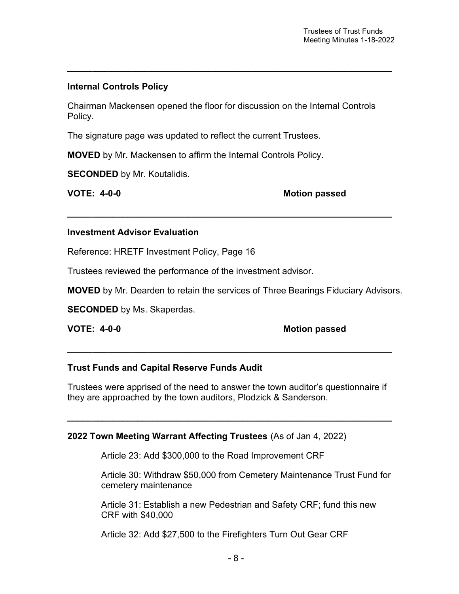## Internal Controls Policy

Chairman Mackensen opened the floor for discussion on the Internal Controls Policy.

\_\_\_\_\_\_\_\_\_\_\_\_\_\_\_\_\_\_\_\_\_\_\_\_\_\_\_\_\_\_\_\_\_\_\_\_\_\_\_\_\_\_\_\_\_\_\_\_\_\_\_\_\_\_\_\_\_\_\_\_\_\_\_\_\_

The signature page was updated to reflect the current Trustees.

MOVED by Mr. Mackensen to affirm the Internal Controls Policy.

SECONDED by Mr. Koutalidis.

VOTE: 4-0-0 Motion passed

#### Investment Advisor Evaluation

Reference: HRETF Investment Policy, Page 16

Trustees reviewed the performance of the investment advisor.

MOVED by Mr. Dearden to retain the services of Three Bearings Fiduciary Advisors.

 $\overline{\phantom{a}}$  , and the contribution of the contribution of the contribution of the contribution of the contribution of the contribution of the contribution of the contribution of the contribution of the contribution of the

SECONDED by Ms. Skaperdas.

### VOTE: 4-0-0 Motion passed

#### Trust Funds and Capital Reserve Funds Audit

Trustees were apprised of the need to answer the town auditor's questionnaire if they are approached by the town auditors, Plodzick & Sanderson.

 $\overline{\phantom{a}}$  , and the contribution of the contribution of the contribution of the contribution of the contribution of the contribution of the contribution of the contribution of the contribution of the contribution of the

\_\_\_\_\_\_\_\_\_\_\_\_\_\_\_\_\_\_\_\_\_\_\_\_\_\_\_\_\_\_\_\_\_\_\_\_\_\_\_\_\_\_\_\_\_\_\_\_\_\_\_\_\_\_\_\_\_\_\_\_\_\_\_\_\_

### 2022 Town Meeting Warrant Affecting Trustees (As of Jan 4, 2022)

Article 23: Add \$300,000 to the Road Improvement CRF

Article 30: Withdraw \$50,000 from Cemetery Maintenance Trust Fund for cemetery maintenance

Article 31: Establish a new Pedestrian and Safety CRF; fund this new CRF with \$40,000

Article 32: Add \$27,500 to the Firefighters Turn Out Gear CRF